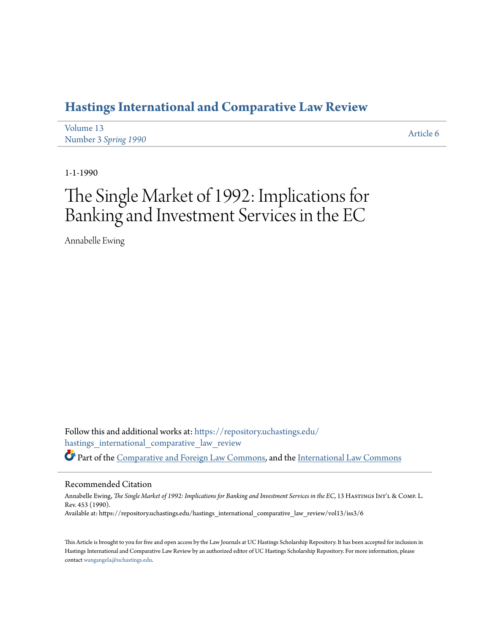## **[Hastings International and Comparative Law Review](https://repository.uchastings.edu/hastings_international_comparative_law_review?utm_source=repository.uchastings.edu%2Fhastings_international_comparative_law_review%2Fvol13%2Fiss3%2F6&utm_medium=PDF&utm_campaign=PDFCoverPages)**

| Volume 13            | Article 6 |
|----------------------|-----------|
| Number 3 Spring 1990 |           |

1-1-1990

# The Single Market of 1992: Implications for Banking and Investment Services in the EC

Annabelle Ewing

Follow this and additional works at: [https://repository.uchastings.edu/](https://repository.uchastings.edu/hastings_international_comparative_law_review?utm_source=repository.uchastings.edu%2Fhastings_international_comparative_law_review%2Fvol13%2Fiss3%2F6&utm_medium=PDF&utm_campaign=PDFCoverPages) [hastings\\_international\\_comparative\\_law\\_review](https://repository.uchastings.edu/hastings_international_comparative_law_review?utm_source=repository.uchastings.edu%2Fhastings_international_comparative_law_review%2Fvol13%2Fiss3%2F6&utm_medium=PDF&utm_campaign=PDFCoverPages) Part of the [Comparative and Foreign Law Commons](http://network.bepress.com/hgg/discipline/836?utm_source=repository.uchastings.edu%2Fhastings_international_comparative_law_review%2Fvol13%2Fiss3%2F6&utm_medium=PDF&utm_campaign=PDFCoverPages), and the [International Law Commons](http://network.bepress.com/hgg/discipline/609?utm_source=repository.uchastings.edu%2Fhastings_international_comparative_law_review%2Fvol13%2Fiss3%2F6&utm_medium=PDF&utm_campaign=PDFCoverPages)

#### Recommended Citation

Annabelle Ewing, *The Single Market of 1992: Implications for Banking and Investment Services in the EC*, 13 HASTINGS INT'L & COMP. L. Rev. 453 (1990). Available at: https://repository.uchastings.edu/hastings\_international\_comparative\_law\_review/vol13/iss3/6

This Article is brought to you for free and open access by the Law Journals at UC Hastings Scholarship Repository. It has been accepted for inclusion in Hastings International and Comparative Law Review by an authorized editor of UC Hastings Scholarship Repository. For more information, please contact [wangangela@uchastings.edu](mailto:wangangela@uchastings.edu).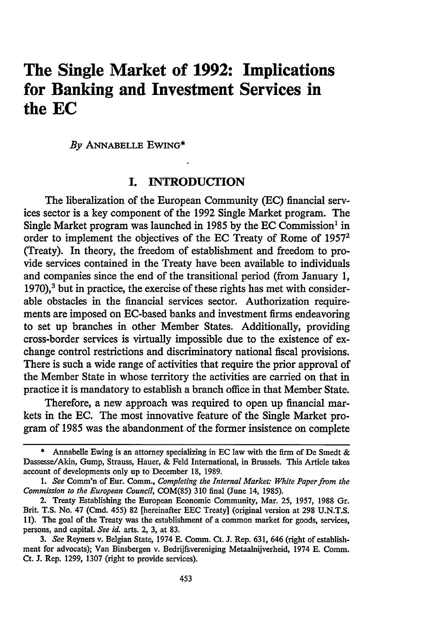## **The Single Market of 1992: Implications for Banking and Investment Services in the EC**

*By* **ANNABELLE** EwING\*

### I. **INTRODUCTION**

The liberalization of the European Community (EC) financial services sector is a key component of the 1992 Single Market program. The Single Market program was launched in 1985 by the **EC** Commission' in order to implement the objectives of the **EC** Treaty of Rome of **<sup>19572</sup>** (Treaty). In theory, the freedom of establishment and freedom to provide services contained in the Treaty have been available to individuals and companies since the end of the transitional period (from January **1, 1970),'** but in practice, the exercise of these rights has met with considerable obstacles in the financial services sector. Authorization requirements are imposed on EC-based banks and investment firms endeavoring to set up branches in other Member States. Additionally, providing cross-border services is virtually impossible due to the existence of exchange control restrictions and discriminatory national fiscal provisions. There is such a wide range of activities that require the prior approval of the Member State in whose territory the activities are carried on that in practice it is mandatory to establish a branch office in that Member State.

Therefore, a new approach was required to open up financial markets in the EC. The most innovative feature of the Single Market program of 1985 was the abandonment of the former insistence on complete

Annabelle Ewing is an attorney specializing in EC law with the firm of De Smedt & Dassesse/Akin, Gump, Strauss, Hauer, & Feld International, in Brussels. This Article takes account of developments only up to December 18, 1989.

*I. See* Comm'n of Eur. Comm., *Completing the Internal Market: White Paper from the Commission to the European Council,* COM(85) 310 final (June 14, 1985).

<sup>2.</sup> Treaty Establishing the European Economic Community, Mar. 25, 1957, 1988 Gr. Brit. T.S. No. 47 (Cmd. 455) 82 [hereinafter EEC Treaty] (original version at 298 U.N.T.S. 11). The goal of the Treaty was the establishment of a common market for goods, services, persons, and capital. *See id.* arts. 2, 3, at 83.

*<sup>3.</sup> See* Reyners v. Belgian State, 1974 E. Comm. Ct. **J.** Rep. 631, 646 (right of establishment for advocats); Van Binsbergen v. Bedrijfsvereniging Metaalnijverheid, 1974 E. Comm. Ct. **J.** Rep. 1299, 1307 (right to provide services).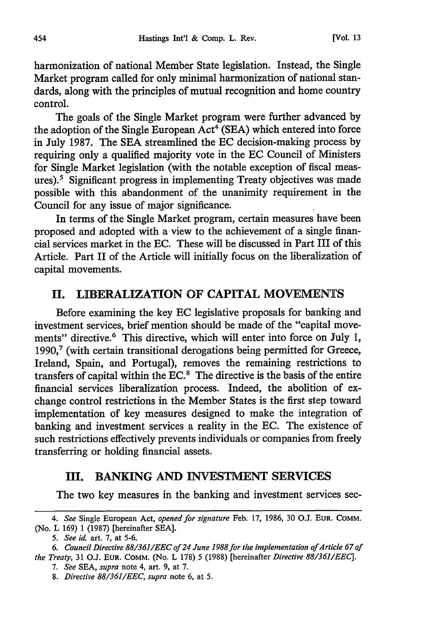harmonization of national Member State legislation. Instead, the Single Market program called for only minimal harmonization of national standards, along with the principles of mutual recognition and home country control.

The goals of the Single Market program were further advanced by the adoption of the Single European  $\text{Act}^4$  (SEA) which entered into force in July 1987. The SEA streamlined the EC decision-making process by requiring only a qualified majority vote in the EC Council of Ministers for Single Market legislation (with the notable exception of fiscal measures).<sup>5</sup> Significant progress in implementing Treaty objectives was made possible with this abandonment of the unanimity requirement in the Council for any issue of major significance.

In terms of the Single Market program, certain measures have been proposed and adopted with a view to the achievement of a single financial services market in the EC. These will be discussed in Part III of this Article. Part II of the Article will initially focus on the liberalization of capital movements.

#### **II. LIBERALIZATION OF CAPITAL MOVEMENTS**

Before examining the key **EC** legislative proposals for banking and investment services, brief mention should be made of the "capital movements" directive.<sup>6</sup> This directive, which will enter into force on July 1, **1990,'** (with certain transitional derogations being permitted for Greece, Ireland, Spain, and Portugal), removes the remaining restrictions to transfers of capital within the **EC.'** The directive is the basis of the entire financial services liberalization process. Indeed, the abolition of exchange control restrictions in the Member States is the first step toward implementation of key measures designed to make the integration of banking and investment services a reality in the **EC.** The existence of such restrictions effectively prevents individuals or companies from freely transferring or holding financial assets.

#### **III. BANKING AND INVESTMENT SERVICES**

The two key measures in the banking and investment services sec-

*<sup>4.</sup> See* Single European Act, *opened for signature* Feb. **17, 1986, 30 O.J. EUR. COMM.** (No. L 169) 1 (1987) [hereinafter **SEA].**

*<sup>5.</sup> See id.* art. 7, at 5-6.

*<sup>6.</sup> Council Directive 88/361/EEC of 24 June 1988for the implementation of Article 67 of the Treaty,* 31 O.J. EUR. COMM. (No. L 178) 5 (1988) [hereinafter *Directive 88/361/EEC].*

*<sup>7.</sup> See* SEA, *supra* note 4, art. 9, at 7.

*<sup>8.</sup> Directive 88/361/EEC, supra* note 6, at 5.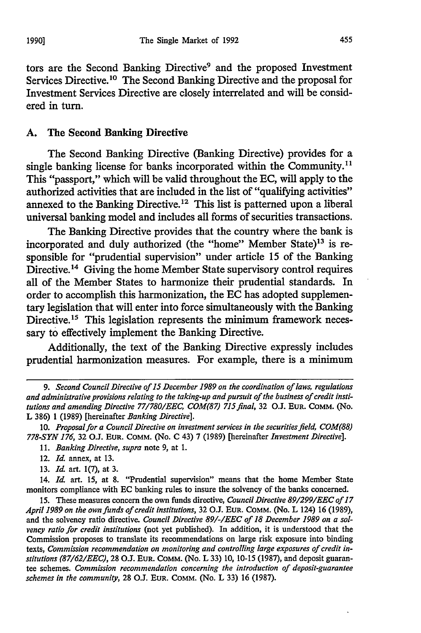tors are the Second Banking Directive<sup>9</sup> and the proposed Investment Services Directive.10 The Second Banking Directive and the proposal for Investment Services Directive are closely interrelated and will be considered in turn.

#### **A.** The Second **Banking** Directive

The Second Banking Directive (Banking Directive) provides for a single banking license for banks incorporated within the Community.<sup>11</sup> This "passport," which will be valid throughout the **EC,** will apply to the authorized activities that are included in the list of "qualifying activities" annexed to the Banking Directive.<sup>12</sup> This list is patterned upon a liberal universal banking model and includes all forms of securities transactions.

The Banking Directive provides that the country where the bank is incorporated and duly authorized (the "home" Member State)<sup>13</sup> is responsible for "prudential supervision" under article **15** of the Banking Directive.<sup>14</sup> Giving the home Member State supervisory control requires all of the Member States to harmonize their prudential standards. In order to accomplish this harmonization, the **EC** has adopted supplementary legislation that will enter into force simultaneously with the Banking Directive.<sup>15</sup> This legislation represents the minimum framework necessary to effectively implement the Banking Directive.

Additionally, the text of the Banking Directive expressly includes prudential harmonization measures. For example, there is a minimum

**13. Id** art. **1(7),** at **3.**

14. **Id.** art. **15,** at **8.** "Prudential supervision" means that the home Member State monitors compliance with **EC** banking rules to insure the solvency of the banks concerned.

**15.** These measures concern the own funds directive, *Council Directive 89/299/EEC of 17 April 1989 on the own funds of credit institutions,* **32 O.J. EUR. COMM.** (No. L 124) **16 (1989),** and the solvency ratio directive. *Council Directive 89/-/EEC of 18 December 1989 on a solvency ratio for credit institutions* (not yet published). In addition, it is understood that the Commission proposes to translate its recommendations on large risk exposure into binding texts, *Commission recommendation on monitoring and controlling large exposures of credit institutions (87/62/EEC),* **28 O.J. EUR. COMM.** (No. L **33) 10, 10-15 (1987),** and deposit guarantee schemes. *Commission recommendation concerning the introduction of deposit-guarantee schemes in the community,* **28 O.J. EUR. COMM.** (No. L **33) 16 (1987).**

*<sup>9.</sup> Second Council Directive of* **15** *December 1989 on the coordination of laws, regulations and administrative provisions relating to the taking-up and pursuit of the business of credit institutions and amending Directive 77/780/EEC, COM(87) 715 final,* **32 O.J. EUR. COMM. (NO.** L **386) 1 (1989)** [hereinafter *Banking Directive].*

*<sup>10.</sup> Proposal for a Council Directive on investment services in the securities field, COM(88) 778-SYN 176,* **32 O.J. EUR. COMM.** (No. **C** 43) **7 (1989)** [hereinafter *Investment Directive].*

*<sup>11.</sup> Banking Directive, supra* note **9,** at **1.**

<sup>12.</sup> *Id.* annex, at **13.**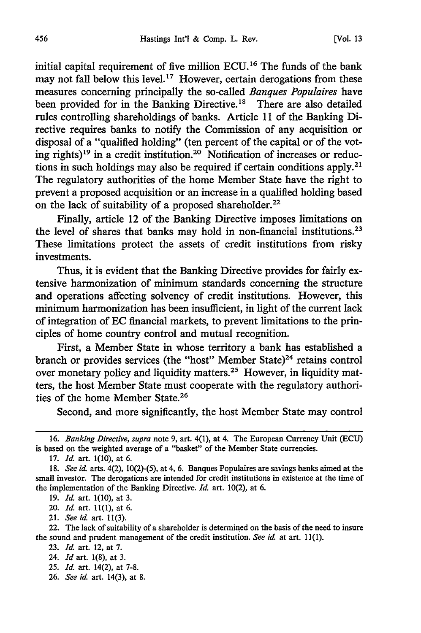initial capital requirement of five million ECU.<sup>16</sup> The funds of the bank may not fall below this level.<sup>17</sup> However, certain derogations from these measures concerning principally the so-called *Banques Populaires* have been provided for in the Banking Directive.<sup>18</sup> There are also detailed rules controlling shareholdings of banks. Article 11 of the Banking Directive requires banks to notify the Commission of any acquisition or disposal of a "qualified holding" (ten percent of the capital or of the voting rights)<sup>19</sup> in a credit institution.<sup>20</sup> Notification of increases or reductions in such holdings may also be required if certain conditions apply.<sup>21</sup> The regulatory authorities of the home Member State have the right to prevent a proposed acquisition or an increase in a qualified holding based on the lack of suitability of a proposed shareholder.<sup>22</sup>

Finally, article 12 of the Banking Directive imposes limitations on the level of shares that banks may hold in non-financial institutions. <sup>23</sup> These limitations protect the assets of credit institutions from risky investments.

Thus, it is evident that the Banking Directive provides for fairly extensive harmonization of minimum standards concerning the structure and operations affecting solvency of credit institutions. However, this minimum harmonization has been insufficient, in light of the current lack of integration of EC financial markets, to prevent limitations to the principles of home country control and mutual recognition.

First, a Member State in whose territory a bank has established a branch or provides services (the "host" Member State)<sup>24</sup> retains control over monetary policy and liquidity matters.25 However, in liquidity matters, the host Member State must cooperate with the regulatory authorities of the home Member State.26

Second, and more significantly, the host Member State may control

26. *See id.* art. 14(3), at 8.

<sup>16.</sup> *Banking Directive, supra* note 9, art. 4(1), at 4. The European Currency Unit **(ECU)** is based on the weighted average of a "basket" of the Member State currencies.

<sup>17.</sup> *Id.* art. 1(10), at 6.

<sup>18.</sup> *See id.* arts. 4(2), 10(2)-(5), at 4, 6. Banques Populaires are savings banks aimed at the small investor. The derogations are intended for credit institutions in existence at the time of the implementation of the Banking Directive. *Id.* art. 10(2), at 6.

<sup>19.</sup> *Id.* art. 1(10), at 3.

<sup>20.</sup> *Id.* art. 11(1), at 6.

<sup>21.</sup> *See id.* art. 11(3).

<sup>22.</sup> The lack of suitability of a shareholder is determined on the basis of the need to insure the sound and prudent management of the credit institution. *See id.* at art. 11(1).

<sup>23.</sup> *Id.* art. 12, at 7.

<sup>24.</sup> *Id* art. 1(8), at 3.

<sup>25.</sup> *Id.* art. 14(2), at 7-8.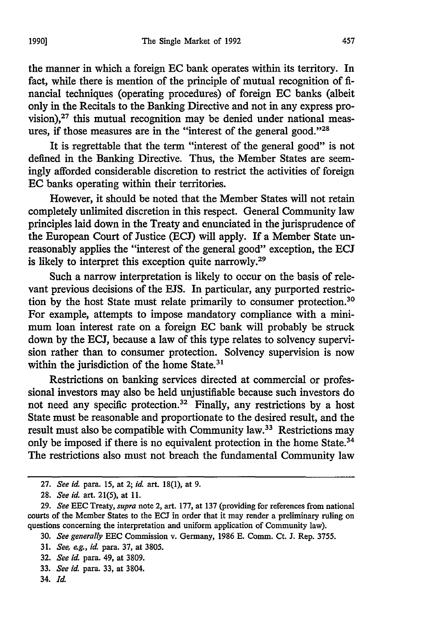the manner in which a foreign EC bank operates within its territory. In fact, while there is mention of the principle of mutual recognition of financial techniques (operating procedures) of foreign EC banks (albeit only in the Recitals to the Banking Directive and not in any express provision), $27$  this mutual recognition may be denied under national measures, if those measures are in the "interest of the general good."28

It is regrettable that the term "interest of the general good" is not defined in the Banking Directive. Thus, the Member States are seemingly afforded considerable discretion to restrict the activities of foreign **EC** banks operating within their territories.

However, it should be noted that the Member States will not retain completely unlimited discretion in this respect. General Community law principles laid down in the Treaty and enunciated in the jurisprudence of the European Court of Justice (ECJ) will apply. If a Member State unreasonably applies the "interest of the general good" exception, the ECJ is likely to interpret this exception quite narrowly.<sup>29</sup>

Such a narrow interpretation is likely to occur on the basis of relevant previous decisions of the EJS. In particular, any purported restriction by the host State must relate primarily to consumer protection.30 For example, attempts to impose mandatory compliance with a minimum loan interest rate on a foreign EC bank will probably be struck down by the ECJ, because a law of this type relates to solvency supervision rather than to consumer protection. Solvency supervision is now within the jurisdiction of the home State.<sup>31</sup>

Restrictions on banking services directed at commercial or professional investors may also be held unjustifiable because such investors do not need any specific protection.<sup>32</sup> Finally, any restrictions by a host State must be reasonable and proportionate to the desired result, and the result must also be compatible with Community law.33 Restrictions may only be imposed if there is no equivalent protection in the home State.<sup>34</sup> The restrictions also must not breach the fundamental Community law

- 31. *See, eg., id* para. 37, at 3805.
- 32. *See id.* para. 49, at 3809.
- 33. *See id.* para. 33, at 3804.
- 34. *Id.*

**<sup>27.</sup>** *See* **id.** para. 15, at 2; *id.* art. 18(1), at 9.

<sup>28.</sup> *See id.* art. 21(5), at 11.

<sup>29.</sup> *See* **EEC** Treaty, *supra* note 2, art. 177, at 137 (providing for references from national courts of the Member States to the **ECJ** in order that it may render a preliminary ruling on questions concerning the interpretation and uniform application of Community law).

<sup>30.</sup> *See generally* **EEC** Commission v. Germany, 1986 E. Comm. Ct. J. Rep. 3755.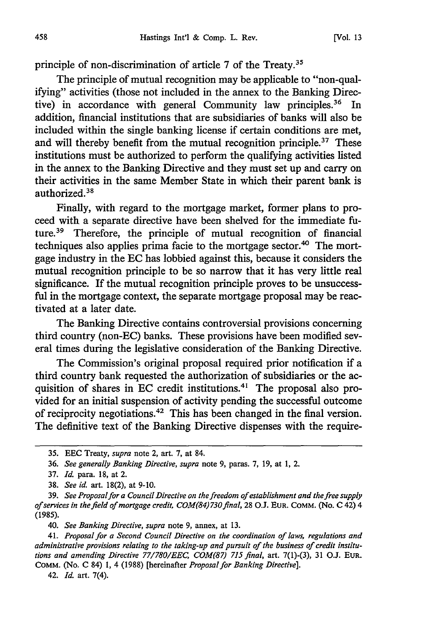principle of non-discrimination of article 7 of the Treaty.35

The principle of mutual recognition may be applicable to "non-qualifying" activities (those not included in the annex to the Banking Directive) in accordance with general Community law principles.<sup>36</sup> In addition, financial institutions that are subsidiaries of banks will also be included within the single banking license if certain conditions are met, and will thereby benefit from the mutual recognition principle.37 These institutions must be authorized to perform the qualifying activities listed in the annex to the Banking Directive and they must set up and carry on their activities in the same Member State in which their parent bank is authorized.<sup>38</sup>

Finally, with regard to the mortgage market, former plans to proceed with a separate directive have been shelved for the immediate future.<sup>39</sup> Therefore, the principle of mutual recognition of financial techniques also applies prima facie to the mortgage sector.<sup>40</sup> The mortgage industry in the EC has lobbied against this, because it considers the mutual recognition principle to be so narrow that it has very little real significance. If the mutual recognition principle proves to be unsuccessful in the mortgage context, the separate mortgage proposal may be reactivated at a later date.

The Banking Directive contains controversial provisions concerning third country (non-EC) banks. These provisions have been modified several times during the legislative consideration of the Banking Directive.

The Commission's original proposal required prior notification if a third country bank requested the authorization of subsidiaries or the acquisition of shares in EC credit institutions.4' The proposal also provided for an initial suspension of activity pending the successful outcome of reciprocity negotiations.42 This has been changed in the final version. The definitive text of the Banking Directive dispenses with the require-

*40. See Banking Directive, supra* note 9, annex, at 13.

*41. Proposal for a Second Council Directive on the coordination of laws, regulations and administrative provisions relating to the taking-up and pursuit of the business of credit institutions and amending Directive 77/780/EEC, COM(87) 715 final,* art. 7(1)-(3), 31 O.J. **EUR.** COMM. (No. C 84) 1, 4 (1988) [hereinafter *Proposal for Banking Directive].*

42. *Id.* art. 7(4).

<sup>35.</sup> EEC Treaty, *supra* note 2, art. 7, at 84.

<sup>36.</sup> *See generally Banking Directive, supra* note 9, paras. 7, 19, at 1, 2.

<sup>37.</sup> *Id.* para. 18, at 2.

<sup>38.</sup> *See id.* art. 18(2), at 9-10.

<sup>39.</sup> *See Proposal for a Council Directive on the freedom of establishment and the free supply of services in the field of mortgage credit, COM(84)730 final,* 28 O.J. **EUR.** COMM. (No. C 42) 4 (1985).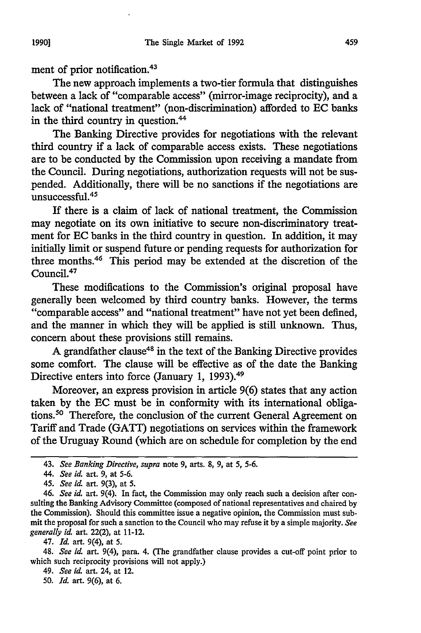ment of prior notification.43

The new approach implements a two-tier formula that distinguishes between a lack of "comparable access" (mirror-image reciprocity), and a lack of "national treatment" (non-discrimination) afforded to EC banks in the third country in question.<sup>44</sup>

The Banking Directive provides for negotiations with the relevant third country if a lack of comparable access exists. These negotiations are to be conducted by the Commission upon receiving a mandate from the Council. During negotiations, authorization requests will not be suspended. Additionally, there will be no sanctions if the negotiations are unsuccessful.45

If there is a claim of lack of national treatment, the Commission may negotiate on its own initiative to secure non-discriminatory treatment for EC banks in the third country in question. In addition, it may initially limit or suspend future or pending requests for authorization for three months.<sup>46</sup> This period may be extended at the discretion of the Council.47

These modifications to the Commission's original proposal have generally been welcomed by third country banks. However, the terms "comparable access" and "national treatment" have not yet been defined, and the manner in which they will be applied is still unknown. Thus, concern about these provisions still remains.

A grandfather clause<sup>48</sup> in the text of the Banking Directive provides some comfort. The clause will be effective as of the date the Banking Directive enters into force (January 1, 1993).<sup>49</sup>

Moreover, an express provision in article 9(6) states that any action taken by the EC must be in conformity with its international obligations.50 Therefore, the conclusion of the current General Agreement on Tariff and Trade (GATT) negotiations on services within the framework of the Uruguay Round (which are on schedule for completion by the end

48. *See id.* art. 9(4), para. 4. (The grandfather clause provides a cut-off point prior to which such reciprocity provisions will not apply.)

<sup>43.</sup> *See Banking Directive, supra* note 9, arts. 8, 9, at 5, 5-6.

*<sup>44.</sup> See id.* art. 9, at 5-6.

<sup>45.</sup> *See id* art. 9(3), at 5.

*<sup>46.</sup> See id.* art. 9(4). In fact, the Commission may only reach such a decision after consulting the Banking Advisory Committee (composed of national representatives and chaired by the Commission). Should this committee issue a negative opinion, the Commission must submit the proposal for such a sanction to the Council who may refuse it by a simple majority. *See generally id.* art. 22(2), at 11-12.

<sup>47.</sup> *Id.* art. 9(4), at 5.

<sup>49.</sup> *See id.* art. 24, at 12.

<sup>50.</sup> *Id.* art. 9(6), at 6.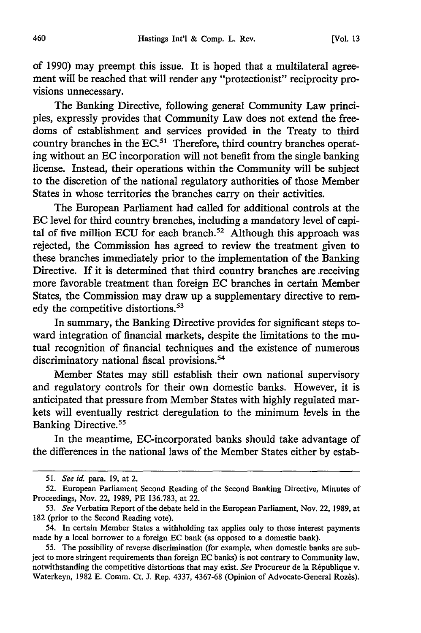of 1990) may preempt this issue. It is hoped that a multilateral agreement will be reached that will render any "protectionist" reciprocity provisions unnecessary.

The Banking Directive, following general Community Law principles, expressly provides that Community Law does not extend the freedoms of establishment and services provided in the Treaty to third country branches in the  $EC^{51}$  Therefore, third country branches operating without an EC incorporation will not benefit from the single banking license. Instead, their operations within the Community will be subject to the discretion of the national regulatory authorities of those Member States in whose territories the branches carry on their activities.

The European Parliament had called for additional controls at the EC level for third country branches, including a mandatory level of capital of five million ECU for each branch.<sup>52</sup> Although this approach was rejected, the Commission has agreed to review the treatment given to these branches immediately prior to the implementation of the Banking Directive. If it is determined that third country branches are receiving more favorable treatment than foreign EC branches in certain Member States, the Commission may draw up a supplementary directive to remedy the competitive distortions.<sup>53</sup>

In summary, the Banking Directive provides for significant steps toward integration of financial markets, despite the limitations to the mutual recognition of financial techniques and the existence of numerous discriminatory national fiscal provisions.<sup>54</sup>

Member States may still establish their own national supervisory and regulatory controls for their own domestic banks. However, it is anticipated that pressure from Member States with highly regulated markets will eventually restrict deregulation to the minimum levels in the Banking Directive.<sup>55</sup>

In the meantime, EC-incorporated banks should take advantage of the differences in the national laws of the Member States either by estab-

<sup>51.</sup> *See id.* para. 19, at 2.

<sup>52.</sup> European Parliament Second Reading of the Second Banking Directive, Minutes of Proceedings, Nov. 22, 1989, PE 136.783, at 22.

<sup>53.</sup> *See* Verbatim Report of the debate held in the European Parliament, Nov. 22, 1989, at 182 (prior to the Second Reading vote).

<sup>54.</sup> In certain Member States a withholding tax applies only to those interest payments made by a local borrower to a foreign EC bank (as opposed to a domestic bank).

<sup>55.</sup> The possibility of reverse discrimination (for example, when domestic banks are subject to more stringent requirements than foreign EC banks) is not contrary to Community law, notwithstanding the competitive distortions that may exist. See Procureur de la République v. Waterkeyn, 1982 E. Comm. Ct. J. Rep. 4337, 4367-68 (Opinion of Advocate-General Rozès).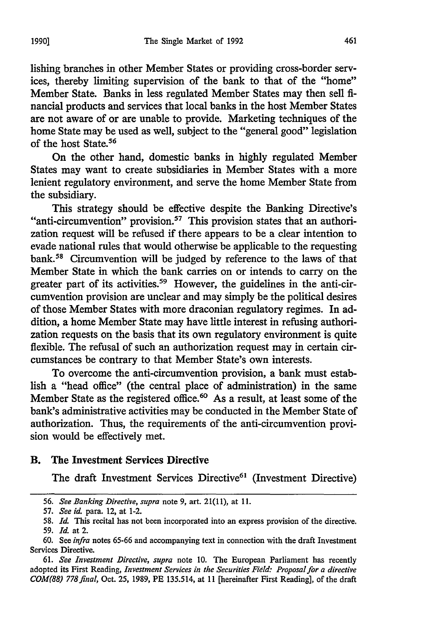lishing branches in other Member States or providing cross-border services, thereby limiting supervision of the bank to that of the "home" Member State. Banks in less regulated Member States may then sell financial products and services that local banks in the host Member States are not aware of or are unable to provide. Marketing techniques of the home State may be used as well, subject to the "general good" legislation of the host State.56

On the other hand, domestic banks in highly regulated Member States may want to create subsidiaries in Member States with a more lenient regulatory environment, and serve the home Member State from the subsidiary.

This strategy should be effective despite the Banking Directive's "anti-circumvention" provision.<sup>57</sup> This provision states that an authorization request will be refused if there appears to be a clear intention to evade national rules that would otherwise be applicable to the requesting bank. 58 Circumvention will be judged by reference to the laws of that Member State in which the bank carries on or intends to carry on the greater part of its activities.<sup>59</sup> However, the guidelines in the anti-circumvention provision are unclear and may simply be the political desires of those Member States with more draconian regulatory regimes. In addition, a home Member State may have little interest in refusing authorization requests on the basis that its own regulatory environment is quite flexible. The refusal of such an authorization request may in certain circumstances be contrary to that Member State's own interests.

To overcome the anti-circumvention provision, a bank must establish a "head office" (the central place of administration) in the same Member State as the registered office.<sup>60</sup> As a result, at least some of the bank's administrative activities may be conducted in the Member State of authorization. Thus, the requirements of the anti-circumvention provision would be effectively met.

#### B. The Investment Services Directive

The draft Investment Services Directive<sup>61</sup> (Investment Directive)

**<sup>56.</sup>** *See Banking Directive, supra* note 9, art. 21(11), at **11.**

<sup>57.</sup> *See id.* para. 12, at 1-2.

<sup>58.</sup> *Id.* This recital has not been incorporated into an express provision of the directive. 59. *Id.* at 2.

<sup>60.</sup> See *infra* notes 65-66 and accompanying text in connection with the draft Investment Services Directive.

<sup>61.</sup> *See Investment Directive, supra* note **10.** The European Parliament has recently adopted its First Reading, *Investment Services in the Securities Field: Proposal for a directive COM(88) 778final,* Oct. 25, 1989, PE 135.514, at 11 [hereinafter First Reading], of the draft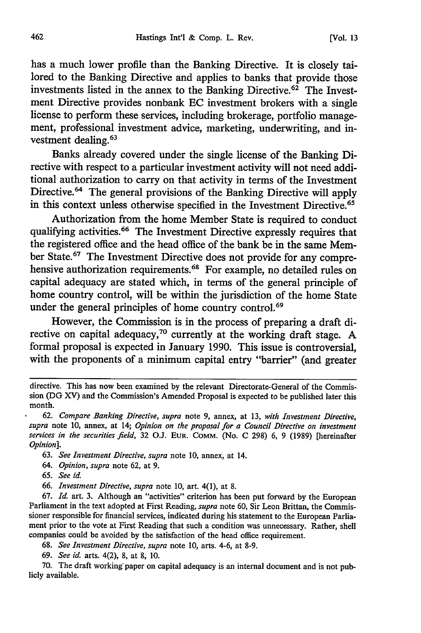has a much lower profile than the Banking Directive. It is closely tailored to the Banking Directive and applies to banks that provide those investments listed in the annex to the Banking Directive.<sup>62</sup> The Investment Directive provides nonbank EC investment brokers with a single license to perform these services, including brokerage, portfolio management, professional investment advice, marketing, underwriting, and investment dealing.<sup>63</sup>

Banks already covered under the single license of the Banking Directive with respect to a particular investment activity will not need additional authorization to carry on that activity in terms of the Investment Directive.<sup>64</sup> The general provisions of the Banking Directive will apply in this context unless otherwise specified in the Investment Directive.<sup>65</sup>

Authorization from the home Member State is required to conduct qualifying activities.<sup>66</sup> The Investment Directive expressly requires that the registered office and the head office of the bank be in the same Member State.<sup>67</sup> The Investment Directive does not provide for any comprehensive authorization requirements.<sup>68</sup> For example, no detailed rules on capital adequacy are stated which, in terms of the general principle of home country control, will be within the jurisdiction of the home State under the general principles of home country control.<sup>69</sup>

However, the Commission is in the process of preparing a draft directive on capital adequacy,<sup>70</sup> currently at the working draft stage. A formal proposal is expected in January 1990. This issue is controversial, with the proponents of a minimum capital entry "barrier" (and greater

*64. Opinion, supra* note 62, at 9.

65. *See id.*

67. *Id.* art. 3. Although an "activities" criterion has been put forward by the European Parliament in the text adopted at First Reading, *supra* note 60, Sir Leon Brittan, the Commissioner responsible for financial services, indicated during his statement to the European Parliament prior to the vote at First Reading that such a condition was unnecessary. Rather, shell companies could be avoided by the satisfaction of the head office requirement.

68. *See Investment Directive, supra* note 10, arts. 4-6, at 8-9.

*69. See id.* arts. 4(2), 8, at *8;* 10.

70. The draft working paper on capital adequacy is an internal document and is not publicly available.

directive. This has now been examined by the relevant Directorate-General of the Commission (DG XV) and the Commission's Amended Proposal is expected to be published later this month.

<sup>62.</sup> *Compare Banking Directive, supra* note 9, annex, at 13, *with Investment Directive, supra* note 10, annex, at 14; *Opinion on the proposal for a Council Directive on investment services in the securities field,* 32 O.J. **EUR.** COMM. (No. C 298) 6, 9 (1989) [hereinafter *Opinion].*

<sup>63.</sup> *See Investment Directive, supra* note 10, annex, at 14.

*<sup>66.</sup> Investment Directive, supra* note 10, art. 4(1), at 8.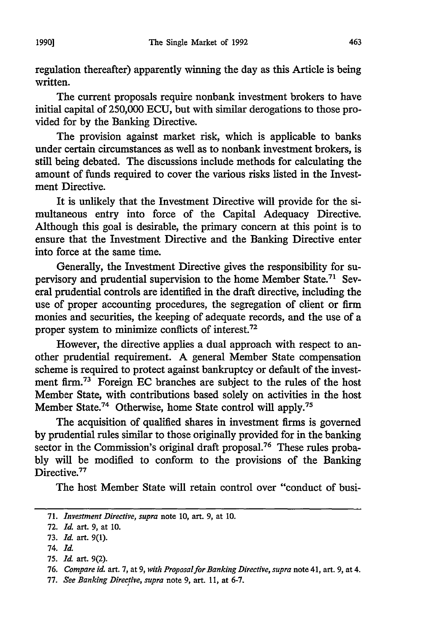regulation thereafter) apparently winning the day as this Article is being written.

The current proposals require nonbank investment brokers to have initial capital of 250,000 ECU, but with similar derogations to those provided for by the Banking Directive.

The provision against market risk, which is applicable to banks under certain circumstances as well as to nonbank investment brokers, is still being debated. The discussions include methods for calculating the amount of funds required to cover the various risks listed in the Investment Directive.

It is unlikely that the Investment Directive will provide for the simultaneous entry into force of the Capital Adequacy Directive. Although this goal is desirable, the primary concern at this point is to ensure that the Investment Directive and the Banking Directive enter into force at the same time.

Generally, the Investment Directive gives the responsibility for supervisory and prudential supervision to the home Member State.<sup>71</sup> Several prudential controls are identified in the draft directive, including the use of proper accounting procedures, the segregation of client or firm monies and securities, the keeping of adequate records, and the use of a proper system to minimize conflicts of interest.72

However, the directive applies a dual approach with respect to another prudential requirement. A general Member State compensation scheme is required to protect against bankruptcy or default of the investment firm.<sup>73</sup> Foreign EC branches are subject to the rules of the host Member State, with contributions based solely on activities in the host Member State.<sup>74</sup> Otherwise, home State control will apply.<sup>7</sup>

The acquisition of qualified shares in investment firms is governed by prudential rules similar to those originally provided for in the banking sector in the Commission's original draft proposal.<sup>76</sup> These rules probably will be modified to conform to the provisions of the Banking Directive.<sup>77</sup>

The host Member State will retain control over "conduct of busi-

74. *Id.*

<sup>71.</sup> *Investment Directive, supra* note 10, art. 9, at **10.**

<sup>72.</sup> *Id.* art. 9, at **10.**

<sup>73.</sup> *Id. art.* 9(1).

**<sup>75.</sup>** *Id.* art. 9(2).

<sup>76.</sup> *Compare id.* art. 7, at 9, *with Proposal for Banking Directive, supra* note 41, art. 9, at 4.

<sup>77.</sup> *See Banking Directive, supra* note 9, art. 11, at 6-7.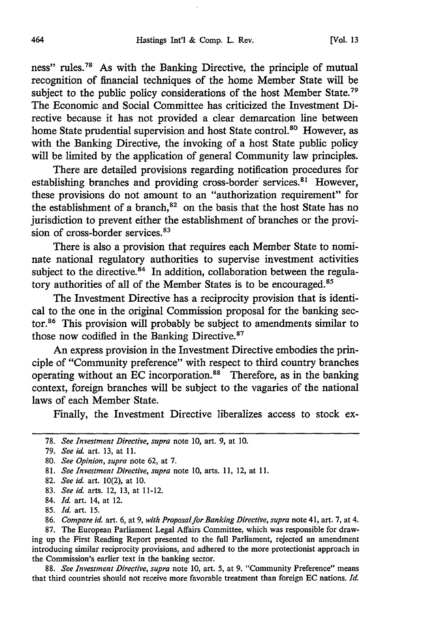ness" rules.<sup>78</sup> As with the Banking Directive, the principle of mutual recognition of financial techniques of the home Member State will be subject to the public policy considerations of the host Member State.<sup>79</sup> The Economic and Social Committee has criticized the Investment Directive because it has not provided a clear demarcation line between home State prudential supervision and host State control.<sup>80</sup> However, as with the Banking Directive, the invoking of a host State public policy will be limited by the application of general Community law principles.

There are detailed provisions regarding notification procedures for establishing branches and providing cross-border services.<sup>81</sup> However, these provisions do not amount to an "authorization requirement" for the establishment of a branch, $82$  on the basis that the host State has no jurisdiction to prevent either the establishment of branches or the provision of cross-border services.<sup>83</sup>

There is also a provision that requires each Member State to nominate national regulatory authorities to supervise investment activities subject to the directive. $84$  In addition, collaboration between the regulatory authorities of all of the Member States is to be encouraged.<sup>85</sup>

The Investment Directive has a reciprocity provision that is identical to the one in the original Commission proposal for the banking sector.<sup>86</sup> This provision will probably be subject to amendments similar to those now codified in the Banking Directive.<sup>87</sup>

An express provision in the Investment Directive embodies the principle of "Community preference" with respect to third country branches operating without an EC incorporation.<sup>88</sup> Therefore, as in the banking context, foreign branches will be subject to the vagaries of the national laws of each Member State.

Finally, the Investment Directive liberalizes access to stock ex-

83. *See id.* arts. 12, 13, at 11-12.

87. The European Parliament Legal Affairs Committee, which was responsible for drawing up the First Reading Report presented to the full Parliament, rejected an amendment introducing similar reciprocity provisions, and adhered to the more protectionist approach in the Commission's earlier text in the banking sector.

88. *See Investment Directive, supra* note 10, art. 5, at 9. "Community Preference" means that third countries should not receive more favorable treatment than foreign EC nations. *Id.*

<sup>78.</sup> *See Investment Directive, supra* note 10, art. 9, at 10.

<sup>79.</sup> *See id.* art. 13, at **11.**

<sup>80.</sup> *See Opinion, supra* note 62, at 7.

<sup>81.</sup> *See Investment Directive, supra* note 10, arts. 11, 12, at 11.

<sup>82.</sup> *See id.* art. 10(2), at **10.**

<sup>84.</sup> *Id.* art. 14, at 12.

<sup>85.</sup> *Id.* art. 15.

<sup>86.</sup> *Compare id.* art. *6,* at 9, *with Proposal for Banking Directive, supra* note 41, art. 7, at 4.